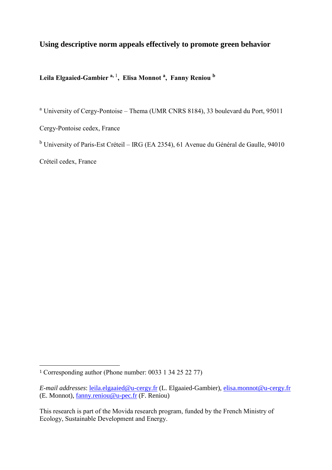# **Using descriptive norm appeals effectively to promote green behavior**

**Leila Elgaaied-Gambier a,** <sup>1</sup> **, Elisa Monnot <sup>a</sup> , Fanny Reniou <sup>b</sup>**

<sup>a</sup> University of Cergy-Pontoise – Thema (UMR CNRS 8184), 33 boulevard du Port, 95011

Cergy-Pontoise cedex, France

<sup>b</sup> University of Paris-Est Créteil – IRG (EA 2354), 61 Avenue du Général de Gaulle, 94010

Créteil cedex, France

 $\overline{a}$ 

<sup>1</sup> Corresponding author (Phone number: 0033 1 34 25 22 77)

*E-mail addresses*: [leila.elgaaied@u-cergy.fr](mailto:leila.elgaaied@u-cergy.fr) (L. Elgaaied-Gambier), [elisa.monnot@u-cergy.fr](mailto:elisa.monnot@u-cergy.fr) (E. Monnot), [fanny.reniou@u-pec.fr](mailto:fanny.reniou@u-pec.fr) (F. Reniou)

This research is part of the Movida research program, funded by the French Ministry of Ecology, Sustainable Development and Energy.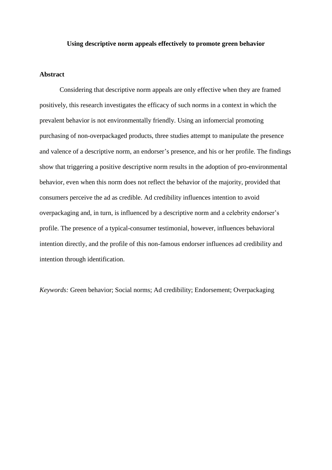## **Using descriptive norm appeals effectively to promote green behavior**

## **Abstract**

Considering that descriptive norm appeals are only effective when they are framed positively, this research investigates the efficacy of such norms in a context in which the prevalent behavior is not environmentally friendly. Using an infomercial promoting purchasing of non-overpackaged products, three studies attempt to manipulate the presence and valence of a descriptive norm, an endorser's presence, and his or her profile. The findings show that triggering a positive descriptive norm results in the adoption of pro-environmental behavior, even when this norm does not reflect the behavior of the majority, provided that consumers perceive the ad as credible. Ad credibility influences intention to avoid overpackaging and, in turn, is influenced by a descriptive norm and a celebrity endorser's profile. The presence of a typical-consumer testimonial, however, influences behavioral intention directly, and the profile of this non-famous endorser influences ad credibility and intention through identification.

*Keywords:* Green behavior; Social norms; Ad credibility; Endorsement; Overpackaging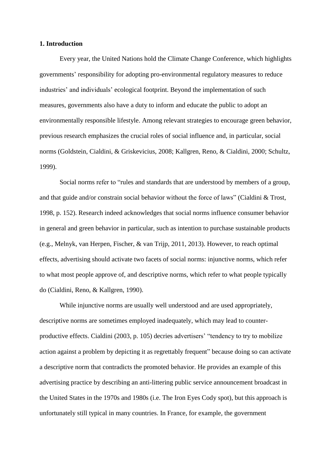## **1. Introduction**

Every year, the United Nations hold the Climate Change Conference, which highlights governments' responsibility for adopting pro-environmental regulatory measures to reduce industries' and individuals' ecological footprint. Beyond the implementation of such measures, governments also have a duty to inform and educate the public to adopt an environmentally responsible lifestyle. Among relevant strategies to encourage green behavior, previous research emphasizes the crucial roles of social influence and, in particular, social norms (Goldstein, Cialdini, & Griskevicius, 2008; Kallgren, Reno, & Cialdini, 2000; Schultz, 1999).

Social norms refer to "rules and standards that are understood by members of a group, and that guide and/or constrain social behavior without the force of laws" (Cialdini & Trost, 1998, p. 152). Research indeed acknowledges that social norms influence consumer behavior in general and green behavior in particular, such as intention to purchase sustainable products (e.g., Melnyk, van Herpen, Fischer, & van Trijp, 2011, 2013). However, to reach optimal effects, advertising should activate two facets of social norms: injunctive norms, which refer to what most people approve of, and descriptive norms, which refer to what people typically do (Cialdini, Reno, & Kallgren, 1990).

While injunctive norms are usually well understood and are used appropriately, descriptive norms are sometimes employed inadequately, which may lead to counterproductive effects. Cialdini (2003, p. 105) decries advertisers' "tendency to try to mobilize action against a problem by depicting it as regrettably frequent" because doing so can activate a descriptive norm that contradicts the promoted behavior. He provides an example of this advertising practice by describing an anti-littering public service announcement broadcast in the United States in the 1970s and 1980s (i.e. The Iron Eyes Cody spot), but this approach is unfortunately still typical in many countries. In France, for example, the government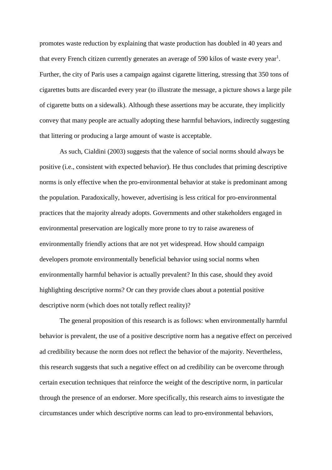promotes waste reduction by explaining that waste production has doubled in 40 years and that every French citizen currently generates an average of 590 kilos of waste every year $^1$ . Further, the city of Paris uses a campaign against cigarette littering, stressing that 350 tons of cigarettes butts are discarded every year (to illustrate the message, a picture shows a large pile of cigarette butts on a sidewalk). Although these assertions may be accurate, they implicitly convey that many people are actually adopting these harmful behaviors, indirectly suggesting that littering or producing a large amount of waste is acceptable.

As such, Cialdini (2003) suggests that the valence of social norms should always be positive (i.e., consistent with expected behavior). He thus concludes that priming descriptive norms is only effective when the pro-environmental behavior at stake is predominant among the population. Paradoxically, however, advertising is less critical for pro-environmental practices that the majority already adopts. Governments and other stakeholders engaged in environmental preservation are logically more prone to try to raise awareness of environmentally friendly actions that are not yet widespread. How should campaign developers promote environmentally beneficial behavior using social norms when environmentally harmful behavior is actually prevalent? In this case, should they avoid highlighting descriptive norms? Or can they provide clues about a potential positive descriptive norm (which does not totally reflect reality)?

The general proposition of this research is as follows: when environmentally harmful behavior is prevalent, the use of a positive descriptive norm has a negative effect on perceived ad credibility because the norm does not reflect the behavior of the majority. Nevertheless, this research suggests that such a negative effect on ad credibility can be overcome through certain execution techniques that reinforce the weight of the descriptive norm, in particular through the presence of an endorser. More specifically, this research aims to investigate the circumstances under which descriptive norms can lead to pro-environmental behaviors,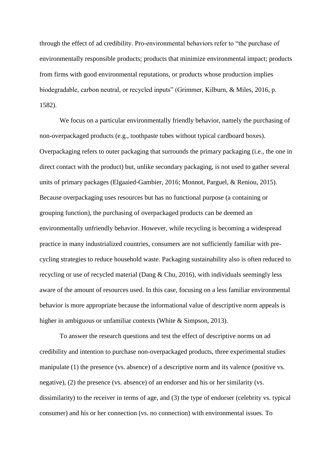through the effect of ad credibility. Pro-environmental behaviors refer to "the purchase of environmentally responsible products; products that minimize environmental impact; products from firms with good environmental reputations, or products whose production implies biodegradable, carbon neutral, or recycled inputs" (Grimmer, Kilburn, & Miles, 2016, p. 1582).

We focus on a particular environmentally friendly behavior, namely the purchasing of non-overpackaged products (e.g., toothpaste tubes without typical cardboard boxes). Overpackaging refers to outer packaging that surrounds the primary packaging (i.e., the one in direct contact with the product) but, unlike secondary packaging, is not used to gather several units of primary packages (Elgaaied-Gambier, 2016; Monnot, Parguel, & Reniou, 2015). Because overpackaging uses resources but has no functional purpose (a containing or grouping function), the purchasing of overpackaged products can be deemed an environmentally unfriendly behavior. However, while recycling is becoming a widespread practice in many industrialized countries, consumers are not sufficiently familiar with precycling strategies to reduce household waste. Packaging sustainability also is often reduced to recycling or use of recycled material (Dang & Chu, 2016), with individuals seemingly less aware of the amount of resources used. In this case, focusing on a less familiar environmental behavior is more appropriate because the informational value of descriptive norm appeals is higher in ambiguous or unfamiliar contexts (White & Simpson, 2013).

To answer the research questions and test the effect of descriptive norms on ad credibility and intention to purchase non-overpackaged products, three experimental studies manipulate (1) the presence (vs. absence) of a descriptive norm and its valence (positive vs. negative), (2) the presence (vs. absence) of an endorser and his or her similarity (vs. dissimilarity) to the receiver in terms of age, and (3) the type of endorser (celebrity vs. typical consumer) and his or her connection (vs. no connection) with environmental issues. To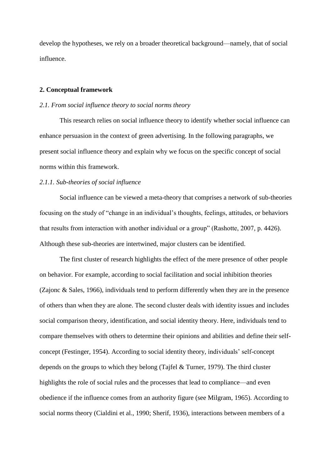develop the hypotheses, we rely on a broader theoretical background—namely, that of social influence.

## **2. Conceptual framework**

## *2.1. From social influence theory to social norms theory*

This research relies on social influence theory to identify whether social influence can enhance persuasion in the context of green advertising. In the following paragraphs, we present social influence theory and explain why we focus on the specific concept of social norms within this framework.

## *2.1.1. Sub-theories of social influence*

Social influence can be viewed a meta-theory that comprises a network of sub-theories focusing on the study of "change in an individual's thoughts, feelings, attitudes, or behaviors that results from interaction with another individual or a group" (Rashotte, 2007, p. 4426). Although these sub-theories are intertwined, major clusters can be identified.

The first cluster of research highlights the effect of the mere presence of other people on behavior. For example, according to social facilitation and social inhibition theories (Zajonc & Sales, 1966), individuals tend to perform differently when they are in the presence of others than when they are alone. The second cluster deals with identity issues and includes social comparison theory, identification, and social identity theory. Here, individuals tend to compare themselves with others to determine their opinions and abilities and define their selfconcept (Festinger, 1954). According to social identity theory, individuals' self-concept depends on the groups to which they belong (Tajfel & Turner, 1979). The third cluster highlights the role of social rules and the processes that lead to compliance—and even obedience if the influence comes from an authority figure (see Milgram, 1965). According to social norms theory (Cialdini et al., 1990; Sherif, 1936), interactions between members of a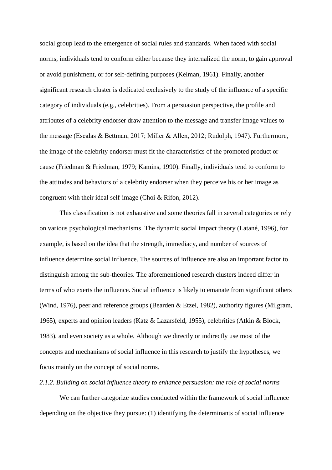social group lead to the emergence of social rules and standards. When faced with social norms, individuals tend to conform either because they internalized the norm, to gain approval or avoid punishment, or for self-defining purposes (Kelman, 1961). Finally, another significant research cluster is dedicated exclusively to the study of the influence of a specific category of individuals (e.g., celebrities). From a persuasion perspective, the profile and attributes of a celebrity endorser draw attention to the message and transfer image values to the message (Escalas & Bettman, 2017; Miller & Allen, 2012; Rudolph, 1947). Furthermore, the image of the celebrity endorser must fit the characteristics of the promoted product or cause (Friedman & Friedman, 1979; Kamins, 1990). Finally, individuals tend to conform to the attitudes and behaviors of a celebrity endorser when they perceive his or her image as congruent with their ideal self-image (Choi & Rifon, 2012).

This classification is not exhaustive and some theories fall in several categories or rely on various psychological mechanisms. The dynamic social impact theory (Latané, 1996), for example, is based on the idea that the strength, immediacy, and number of sources of influence determine social influence. The sources of influence are also an important factor to distinguish among the sub-theories. The aforementioned research clusters indeed differ in terms of who exerts the influence. Social influence is likely to emanate from significant others (Wind, 1976), peer and reference groups (Bearden & Etzel, 1982), authority figures (Milgram, 1965), experts and opinion leaders (Katz & Lazarsfeld, 1955), celebrities (Atkin & Block, 1983), and even society as a whole. Although we directly or indirectly use most of the concepts and mechanisms of social influence in this research to justify the hypotheses, we focus mainly on the concept of social norms.

## *2.1.2. Building on social influence theory to enhance persuasion: the role of social norms*

We can further categorize studies conducted within the framework of social influence depending on the objective they pursue: (1) identifying the determinants of social influence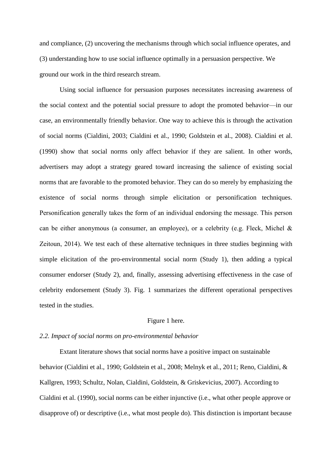and compliance, (2) uncovering the mechanisms through which social influence operates, and (3) understanding how to use social influence optimally in a persuasion perspective. We ground our work in the third research stream.

Using social influence for persuasion purposes necessitates increasing awareness of the social context and the potential social pressure to adopt the promoted behavior—in our case, an environmentally friendly behavior. One way to achieve this is through the activation of social norms (Cialdini, 2003; Cialdini et al., 1990; Goldstein et al., 2008). Cialdini et al. (1990) show that social norms only affect behavior if they are salient. In other words, advertisers may adopt a strategy geared toward increasing the salience of existing social norms that are favorable to the promoted behavior. They can do so merely by emphasizing the existence of social norms through simple elicitation or personification techniques. Personification generally takes the form of an individual endorsing the message. This person can be either anonymous (a consumer, an employee), or a celebrity (e.g. Fleck, Michel & Zeitoun, 2014). We test each of these alternative techniques in three studies beginning with simple elicitation of the pro-environmental social norm (Study 1), then adding a typical consumer endorser (Study 2), and, finally, assessing advertising effectiveness in the case of celebrity endorsement (Study 3). Fig. 1 summarizes the different operational perspectives tested in the studies.

## Figure 1 here.

## *2.2. Impact of social norms on pro-environmental behavior*

Extant literature shows that social norms have a positive impact on sustainable behavior (Cialdini et al., 1990; Goldstein et al., 2008; Melnyk et al., 2011; Reno, Cialdini, & Kallgren, 1993; Schultz, Nolan, Cialdini, Goldstein, & Griskevicius, 2007). According to Cialdini et al. (1990), social norms can be either injunctive (i.e., what other people approve or disapprove of) or descriptive (i.e., what most people do). This distinction is important because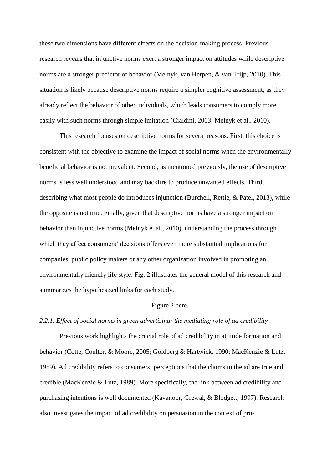these two dimensions have different effects on the decision-making process. Previous research reveals that injunctive norms exert a stronger impact on attitudes while descriptive norms are a stronger predictor of behavior (Melnyk, van Herpen, & van Trijp, 2010). This situation is likely because descriptive norms require a simpler cognitive assessment, as they already reflect the behavior of other individuals, which leads consumers to comply more easily with such norms through simple imitation (Cialdini, 2003; Melnyk et al., 2010).

This research focuses on descriptive norms for several reasons. First, this choice is consistent with the objective to examine the impact of social norms when the environmentally beneficial behavior is not prevalent. Second, as mentioned previously, the use of descriptive norms is less well understood and may backfire to produce unwanted effects. Third, describing what most people do introduces injunction (Burchell, Rettie, & Patel, 2013), while the opposite is not true. Finally, given that descriptive norms have a stronger impact on behavior than injunctive norms (Melnyk et al., 2010), understanding the process through which they affect consumers' decisions offers even more substantial implications for companies, public policy makers or any other organization involved in promoting an environmentally friendly life style. Fig. 2 illustrates the general model of this research and summarizes the hypothesized links for each study.

## Figure 2 here.

## *2.2.1. Effect of social norms in green advertising: the mediating role of ad credibility*

Previous work highlights the crucial role of ad credibility in attitude formation and behavior (Cotte, Coulter, & Moore, 2005; Goldberg & Hartwick, 1990; MacKenzie & Lutz, 1989). Ad credibility refers to consumers' perceptions that the claims in the ad are true and credible (MacKenzie & Lutz, 1989). More specifically, the link between ad credibility and purchasing intentions is well documented (Kavanoor, Grewal, & Blodgett, 1997). Research also investigates the impact of ad credibility on persuasion in the context of pro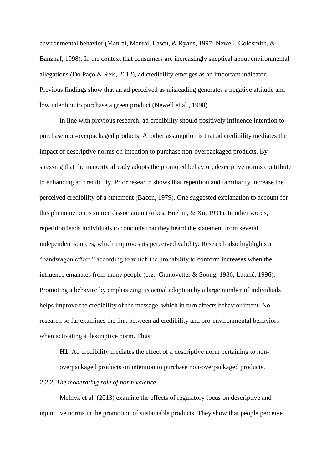environmental behavior (Manrai, Manrai, Lascu, & Ryans, 1997; Newell, Goldsmith, & Banzhaf, 1998). In the context that consumers are increasingly skeptical about environmental allegations (Do Paço & Reis, 2012), ad credibility emerges as an important indicator. Previous findings show that an ad perceived as misleading generates a negative attitude and low intention to purchase a green product (Newell et al., 1998).

In line with previous research, ad credibility should positively influence intention to purchase non-overpackaged products. Another assumption is that ad credibility mediates the impact of descriptive norms on intention to purchase non-overpackaged products. By stressing that the majority already adopts the promoted behavior, descriptive norms contribute to enhancing ad credibility. Prior research shows that repetition and familiarity increase the perceived credibility of a statement (Bacon, 1979). One suggested explanation to account for this phenomenon is source dissociation (Arkes, Boehm, & Xu, 1991). In other words, repetition leads individuals to conclude that they heard the statement from several independent sources, which improves its perceived validity. Research also highlights a "bandwagon effect," according to which the probability to conform increases when the influence emanates from many people (e.g., Granovetter & Soong, 1986; Latané, 1996). Promoting a behavior by emphasizing its actual adoption by a large number of individuals helps improve the credibility of the message, which in turn affects behavior intent. No research so far examines the link between ad credibility and pro-environmental behaviors when activating a descriptive norm. Thus:

**H1.** Ad credibility mediates the effect of a descriptive norm pertaining to nonoverpackaged products on intention to purchase non-overpackaged products.

## *2.2.2. The moderating role of norm valence*

Melnyk et al. (2013) examine the effects of regulatory focus on descriptive and injunctive norms in the promotion of sustainable products. They show that people perceive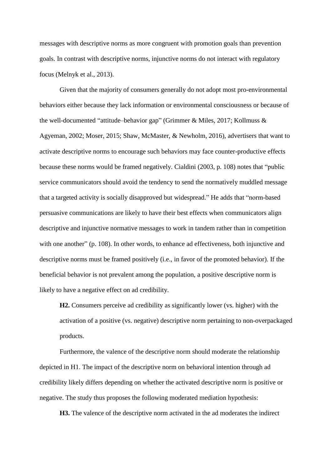messages with descriptive norms as more congruent with promotion goals than prevention goals. In contrast with descriptive norms, injunctive norms do not interact with regulatory focus (Melnyk et al., 2013).

Given that the majority of consumers generally do not adopt most pro-environmental behaviors either because they lack information or environmental consciousness or because of the well-documented "attitude–behavior gap" (Grimmer & Miles, 2017; Kollmuss & Agyeman, 2002; Moser, 2015; Shaw, McMaster, & Newholm, 2016), advertisers that want to activate descriptive norms to encourage such behaviors may face counter-productive effects because these norms would be framed negatively. Cialdini (2003, p. 108) notes that "public service communicators should avoid the tendency to send the normatively muddled message that a targeted activity is socially disapproved but widespread." He adds that "norm-based persuasive communications are likely to have their best effects when communicators align descriptive and injunctive normative messages to work in tandem rather than in competition with one another" (p. 108). In other words, to enhance ad effectiveness, both injunctive and descriptive norms must be framed positively (i.e., in favor of the promoted behavior). If the beneficial behavior is not prevalent among the population, a positive descriptive norm is likely to have a negative effect on ad credibility.

**H2.** Consumers perceive ad credibility as significantly lower (vs. higher) with the activation of a positive (vs. negative) descriptive norm pertaining to non-overpackaged products.

Furthermore, the valence of the descriptive norm should moderate the relationship depicted in H1. The impact of the descriptive norm on behavioral intention through ad credibility likely differs depending on whether the activated descriptive norm is positive or negative. The study thus proposes the following moderated mediation hypothesis:

**H3.** The valence of the descriptive norm activated in the ad moderates the indirect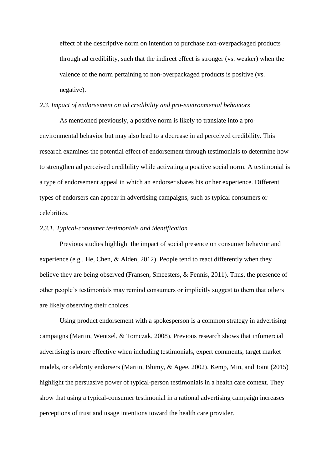effect of the descriptive norm on intention to purchase non-overpackaged products through ad credibility, such that the indirect effect is stronger (vs. weaker) when the valence of the norm pertaining to non-overpackaged products is positive (vs. negative).

## *2.3. Impact of endorsement on ad credibility and pro-environmental behaviors*

As mentioned previously, a positive norm is likely to translate into a proenvironmental behavior but may also lead to a decrease in ad perceived credibility. This research examines the potential effect of endorsement through testimonials to determine how to strengthen ad perceived credibility while activating a positive social norm. A testimonial is a type of endorsement appeal in which an endorser shares his or her experience. Different types of endorsers can appear in advertising campaigns, such as typical consumers or celebrities.

## *2.3.1. Typical-consumer testimonials and identification*

Previous studies highlight the impact of social presence on consumer behavior and experience (e.g., He, Chen, & Alden, 2012). People tend to react differently when they believe they are being observed (Fransen, Smeesters, & Fennis, 2011). Thus, the presence of other people's testimonials may remind consumers or implicitly suggest to them that others are likely observing their choices.

Using product endorsement with a spokesperson is a common strategy in advertising campaigns (Martin, Wentzel, & Tomczak, 2008). Previous research shows that infomercial advertising is more effective when including testimonials, expert comments, target market models, or celebrity endorsers (Martin, Bhimy, & Agee, 2002). Kemp, Min, and Joint (2015) highlight the persuasive power of typical-person testimonials in a health care context. They show that using a typical-consumer testimonial in a rational advertising campaign increases perceptions of trust and usage intentions toward the health care provider.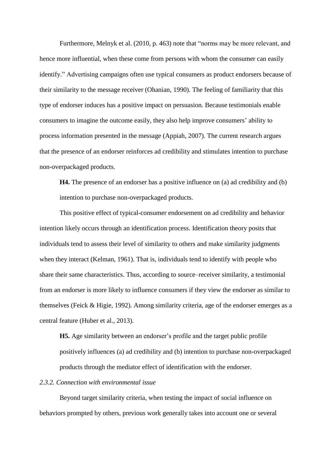Furthermore, Melnyk et al. (2010, p. 463) note that "norms may be more relevant, and hence more influential, when these come from persons with whom the consumer can easily identify." Advertising campaigns often use typical consumers as product endorsers because of their similarity to the message receiver (Ohanian, 1990). The feeling of familiarity that this type of endorser induces has a positive impact on persuasion. Because testimonials enable consumers to imagine the outcome easily, they also help improve consumers' ability to process information presented in the message (Appiah, 2007). The current research argues that the presence of an endorser reinforces ad credibility and stimulates intention to purchase non-overpackaged products.

**H4.** The presence of an endorser has a positive influence on (a) ad credibility and (b) intention to purchase non-overpackaged products.

This positive effect of typical-consumer endorsement on ad credibility and behavior intention likely occurs through an identification process. Identification theory posits that individuals tend to assess their level of similarity to others and make similarity judgments when they interact (Kelman, 1961). That is, individuals tend to identify with people who share their same characteristics. Thus, according to source–receiver similarity, a testimonial from an endorser is more likely to influence consumers if they view the endorser as similar to themselves (Feick & Higie, 1992). Among similarity criteria, age of the endorser emerges as a central feature (Huber et al., 2013).

**H5.** Age similarity between an endorser's profile and the target public profile positively influences (a) ad credibility and (b) intention to purchase non-overpackaged products through the mediator effect of identification with the endorser.

## *2.3.2. Connection with environmental issue*

Beyond target similarity criteria, when testing the impact of social influence on behaviors prompted by others, previous work generally takes into account one or several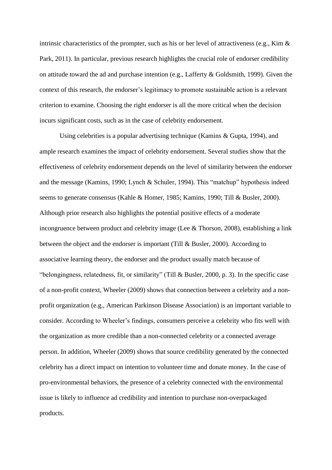intrinsic characteristics of the prompter, such as his or her level of attractiveness (e.g., Kim & Park, 2011). In particular, previous research highlights the crucial role of endorser credibility on attitude toward the ad and purchase intention (e.g., Lafferty & Goldsmith, 1999). Given the context of this research, the endorser's legitimacy to promote sustainable action is a relevant criterion to examine. Choosing the right endorser is all the more critical when the decision incurs significant costs, such as in the case of celebrity endorsement.

Using celebrities is a popular advertising technique (Kamins & Gupta, 1994), and ample research examines the impact of celebrity endorsement. Several studies show that the effectiveness of celebrity endorsement depends on the level of similarity between the endorser and the message (Kamins, 1990; Lynch & Schuler, 1994). This "matchup" hypothesis indeed seems to generate consensus (Kahle & Homer, 1985; Kamins, 1990; Till & Busler, 2000). Although prior research also highlights the potential positive effects of a moderate incongruence between product and celebrity image (Lee & Thorson, 2008), establishing a link between the object and the endorser is important (Till & Busler, 2000). According to associative learning theory, the endorser and the product usually match because of "belongingness, relatedness, fit, or similarity" (Till & Busler, 2000, p. 3). In the specific case of a non-profit context, Wheeler (2009) shows that connection between a celebrity and a nonprofit organization (e.g., American Parkinson Disease Association) is an important variable to consider. According to Wheeler's findings, consumers perceive a celebrity who fits well with the organization as more credible than a non-connected celebrity or a connected average person. In addition, Wheeler (2009) shows that source credibility generated by the connected celebrity has a direct impact on intention to volunteer time and donate money. In the case of pro-environmental behaviors, the presence of a celebrity connected with the environmental issue is likely to influence ad credibility and intention to purchase non-overpackaged products.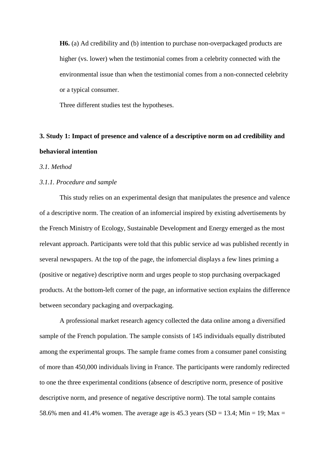**H6.** (a) Ad credibility and (b) intention to purchase non-overpackaged products are higher (vs. lower) when the testimonial comes from a celebrity connected with the environmental issue than when the testimonial comes from a non-connected celebrity or a typical consumer.

Three different studies test the hypotheses.

# **3. Study 1: Impact of presence and valence of a descriptive norm on ad credibility and behavioral intention**

## *3.1. Method*

## *3.1.1. Procedure and sample*

This study relies on an experimental design that manipulates the presence and valence of a descriptive norm. The creation of an infomercial inspired by existing advertisements by the French Ministry of Ecology, Sustainable Development and Energy emerged as the most relevant approach. Participants were told that this public service ad was published recently in several newspapers. At the top of the page, the infomercial displays a few lines priming a (positive or negative) descriptive norm and urges people to stop purchasing overpackaged products. At the bottom-left corner of the page, an informative section explains the difference between secondary packaging and overpackaging.

A professional market research agency collected the data online among a diversified sample of the French population. The sample consists of 145 individuals equally distributed among the experimental groups. The sample frame comes from a consumer panel consisting of more than 450,000 individuals living in France. The participants were randomly redirected to one the three experimental conditions (absence of descriptive norm, presence of positive descriptive norm, and presence of negative descriptive norm). The total sample contains 58.6% men and 41.4% women. The average age is 45.3 years (SD = 13.4; Min = 19; Max =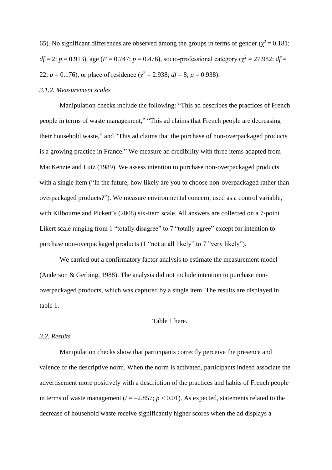65). No significant differences are observed among the groups in terms of gender ( $\chi^2$  = 0.181;  $df = 2$ ;  $p = 0.913$ ), age ( $F = 0.747$ ;  $p = 0.476$ ), socio-professional category ( $\chi^2 = 27.982$ ;  $df =$ 22;  $p = 0.176$ , or place of residence ( $\chi^2 = 2.938$ ;  $df = 8$ ;  $p = 0.938$ ).

## *3.1.2. Measurement scales*

Manipulation checks include the following: "This ad describes the practices of French people in terms of waste management," "This ad claims that French people are decreasing their household waste," and "This ad claims that the purchase of non-overpackaged products is a growing practice in France." We measure ad credibility with three items adapted from MacKenzie and Lutz (1989). We assess intention to purchase non-overpackaged products with a single item ("In the future, how likely are you to choose non-overpackaged rather than overpackaged products?"). We measure environmental concern, used as a control variable, with Kilbourne and Pickett's (2008) six-item scale. All answers are collected on a 7-point Likert scale ranging from 1 "totally disagree" to 7 "totally agree" except for intention to purchase non-overpackaged products (1 "not at all likely" to 7 "very likely").

We carried out a confirmatory factor analysis to estimate the measurement model (Anderson & Gerbing, 1988). The analysis did not include intention to purchase nonoverpackaged products, which was captured by a single item. The results are displayed in table 1.

## Table 1 here.

## *3.2. Results*

Manipulation checks show that participants correctly perceive the presence and valence of the descriptive norm. When the norm is activated, participants indeed associate the advertisement more positively with a description of the practices and habits of French people in terms of waste management ( $t = -2.857$ ;  $p < 0.01$ ). As expected, statements related to the decrease of household waste receive significantly higher scores when the ad displays a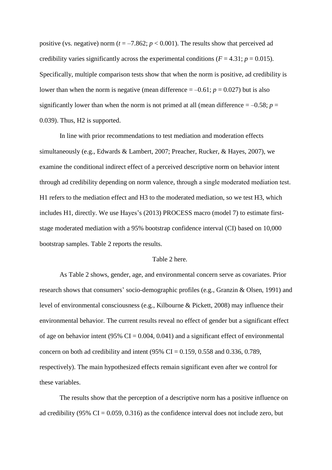positive (vs. negative) norm ( $t = -7.862$ ;  $p < 0.001$ ). The results show that perceived ad credibility varies significantly across the experimental conditions ( $F = 4.31$ ;  $p = 0.015$ ). Specifically, multiple comparison tests show that when the norm is positive, ad credibility is lower than when the norm is negative (mean difference  $= -0.61$ ;  $p = 0.027$ ) but is also significantly lower than when the norm is not primed at all (mean difference  $= -0.58$ ; *p* = 0.039). Thus, H2 is supported.

In line with prior recommendations to test mediation and moderation effects simultaneously (e.g., Edwards & Lambert, 2007; Preacher, Rucker, & Hayes, 2007), we examine the conditional indirect effect of a perceived descriptive norm on behavior intent through ad credibility depending on norm valence, through a single moderated mediation test. H1 refers to the mediation effect and H3 to the moderated mediation, so we test H3, which includes H1, directly. We use Hayes's (2013) PROCESS macro (model 7) to estimate firststage moderated mediation with a 95% bootstrap confidence interval (CI) based on 10,000 bootstrap samples. Table 2 reports the results.

## Table 2 here.

As Table 2 shows, gender, age, and environmental concern serve as covariates. Prior research shows that consumers' socio-demographic profiles (e.g., Granzin & Olsen, 1991) and level of environmental consciousness (e.g., Kilbourne & Pickett, 2008) may influence their environmental behavior. The current results reveal no effect of gender but a significant effect of age on behavior intent (95%  $CI = 0.004, 0.041$ ) and a significant effect of environmental concern on both ad credibility and intent (95% CI =  $0.159$ , 0.558 and 0.336, 0.789, respectively). The main hypothesized effects remain significant even after we control for these variables.

The results show that the perception of a descriptive norm has a positive influence on ad credibility (95%  $CI = 0.059, 0.316$ ) as the confidence interval does not include zero, but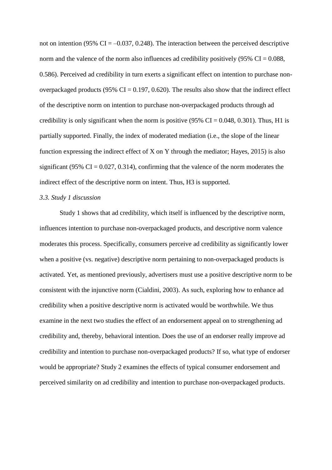not on intention (95%  $CI = -0.037, 0.248$ ). The interaction between the perceived descriptive norm and the valence of the norm also influences ad credibility positively  $(95\% \text{ CI} = 0.088,$ 0.586). Perceived ad credibility in turn exerts a significant effect on intention to purchase nonoverpackaged products (95%  $CI = 0.197, 0.620$ ). The results also show that the indirect effect of the descriptive norm on intention to purchase non-overpackaged products through ad credibility is only significant when the norm is positive  $(95\% \text{ CI} = 0.048, 0.301)$ . Thus, H1 is partially supported. Finally, the index of moderated mediation (i.e., the slope of the linear function expressing the indirect effect of X on Y through the mediator; Hayes, 2015) is also significant (95% CI =  $0.027$ , 0.314), confirming that the valence of the norm moderates the indirect effect of the descriptive norm on intent. Thus, H3 is supported.

#### *3.3. Study 1 discussion*

Study 1 shows that ad credibility, which itself is influenced by the descriptive norm, influences intention to purchase non-overpackaged products, and descriptive norm valence moderates this process. Specifically, consumers perceive ad credibility as significantly lower when a positive (vs. negative) descriptive norm pertaining to non-overpackaged products is activated. Yet, as mentioned previously, advertisers must use a positive descriptive norm to be consistent with the injunctive norm (Cialdini, 2003). As such, exploring how to enhance ad credibility when a positive descriptive norm is activated would be worthwhile. We thus examine in the next two studies the effect of an endorsement appeal on to strengthening ad credibility and, thereby, behavioral intention. Does the use of an endorser really improve ad credibility and intention to purchase non-overpackaged products? If so, what type of endorser would be appropriate? Study 2 examines the effects of typical consumer endorsement and perceived similarity on ad credibility and intention to purchase non-overpackaged products.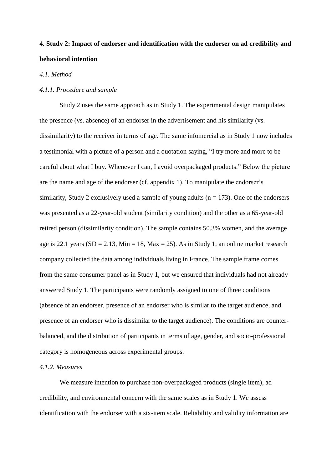# **4. Study 2: Impact of endorser and identification with the endorser on ad credibility and behavioral intention**

## *4.1. Method*

## *4.1.1. Procedure and sample*

Study 2 uses the same approach as in Study 1. The experimental design manipulates the presence (vs. absence) of an endorser in the advertisement and his similarity (vs. dissimilarity) to the receiver in terms of age. The same infomercial as in Study 1 now includes a testimonial with a picture of a person and a quotation saying, "I try more and more to be careful about what I buy. Whenever I can, I avoid overpackaged products." Below the picture are the name and age of the endorser (cf. appendix 1). To manipulate the endorser's similarity, Study 2 exclusively used a sample of young adults ( $n = 173$ ). One of the endorsers was presented as a 22-year-old student (similarity condition) and the other as a 65-year-old retired person (dissimilarity condition). The sample contains 50.3% women, and the average age is 22.1 years (SD = 2.13, Min = 18, Max = 25). As in Study 1, an online market research company collected the data among individuals living in France. The sample frame comes from the same consumer panel as in Study 1, but we ensured that individuals had not already answered Study 1. The participants were randomly assigned to one of three conditions (absence of an endorser, presence of an endorser who is similar to the target audience, and presence of an endorser who is dissimilar to the target audience). The conditions are counterbalanced, and the distribution of participants in terms of age, gender, and socio-professional category is homogeneous across experimental groups.

## *4.1.2. Measures*

We measure intention to purchase non-overpackaged products (single item), ad credibility, and environmental concern with the same scales as in Study 1. We assess identification with the endorser with a six-item scale. Reliability and validity information are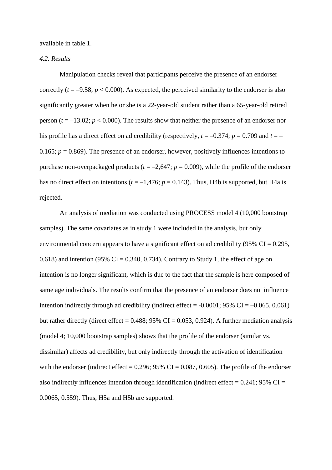available in table 1.

## *4.2. Results*

Manipulation checks reveal that participants perceive the presence of an endorser correctly  $(t = -9.58; p < 0.000)$ . As expected, the perceived similarity to the endorser is also significantly greater when he or she is a 22-year-old student rather than a 65-year-old retired person  $(t = -13.02; p < 0.000)$ . The results show that neither the presence of an endorser nor his profile has a direct effect on ad credibility (respectively,  $t = -0.374$ ;  $p = 0.709$  and  $t = -$ 0.165;  $p = 0.869$ ). The presence of an endorser, however, positively influences intentions to purchase non-overpackaged products ( $t = -2.647$ ;  $p = 0.009$ ), while the profile of the endorser has no direct effect on intentions ( $t = -1,476$ ;  $p = 0.143$ ). Thus, H4b is supported, but H4a is rejected.

An analysis of mediation was conducted using PROCESS model 4 (10,000 bootstrap samples). The same covariates as in study 1 were included in the analysis, but only environmental concern appears to have a significant effect on ad credibility (95%  $CI = 0.295$ , 0.618) and intention (95% CI = 0.340, 0.734). Contrary to Study 1, the effect of age on intention is no longer significant, which is due to the fact that the sample is here composed of same age individuals. The results confirm that the presence of an endorser does not influence intention indirectly through ad credibility (indirect effect =  $-0.0001$ ; 95% CI =  $-0.065$ , 0.061) but rather directly (direct effect =  $0.488$ ; 95% CI =  $0.053$ , 0.924). A further mediation analysis (model 4; 10,000 bootstrap samples) shows that the profile of the endorser (similar vs. dissimilar) affects ad credibility, but only indirectly through the activation of identification with the endorser (indirect effect =  $0.296$ ;  $95\%$  CI =  $0.087$ ,  $0.605$ ). The profile of the endorser also indirectly influences intention through identification (indirect effect  $= 0.241$ ; 95% CI  $=$ 0.0065, 0.559). Thus, H5a and H5b are supported.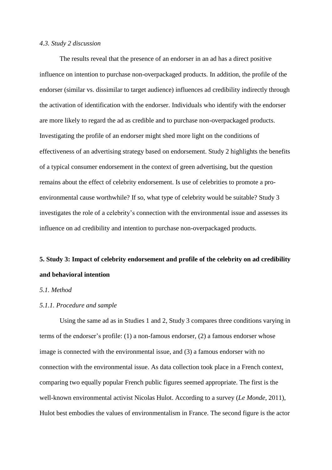## *4.3. Study 2 discussion*

The results reveal that the presence of an endorser in an ad has a direct positive influence on intention to purchase non-overpackaged products. In addition, the profile of the endorser (similar vs. dissimilar to target audience) influences ad credibility indirectly through the activation of identification with the endorser. Individuals who identify with the endorser are more likely to regard the ad as credible and to purchase non-overpackaged products. Investigating the profile of an endorser might shed more light on the conditions of effectiveness of an advertising strategy based on endorsement. Study 2 highlights the benefits of a typical consumer endorsement in the context of green advertising, but the question remains about the effect of celebrity endorsement. Is use of celebrities to promote a proenvironmental cause worthwhile? If so, what type of celebrity would be suitable? Study 3 investigates the role of a celebrity's connection with the environmental issue and assesses its influence on ad credibility and intention to purchase non-overpackaged products.

# **5. Study 3: Impact of celebrity endorsement and profile of the celebrity on ad credibility and behavioral intention**

## *5.1. Method*

## *5.1.1. Procedure and sample*

Using the same ad as in Studies 1 and 2, Study 3 compares three conditions varying in terms of the endorser's profile: (1) a non-famous endorser, (2) a famous endorser whose image is connected with the environmental issue, and (3) a famous endorser with no connection with the environmental issue. As data collection took place in a French context, comparing two equally popular French public figures seemed appropriate. The first is the well-known environmental activist Nicolas Hulot. According to a survey (*Le Monde*, 2011), Hulot best embodies the values of environmentalism in France. The second figure is the actor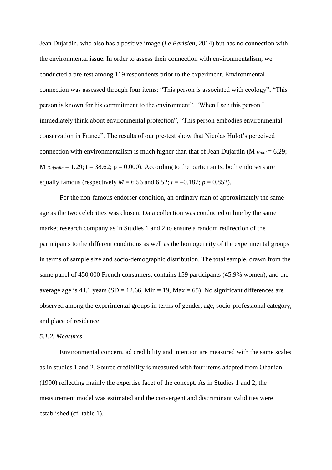Jean Dujardin, who also has a positive image (*Le Parisien*, 2014) but has no connection with the environmental issue. In order to assess their connection with environmentalism, we conducted a pre-test among 119 respondents prior to the experiment. Environmental connection was assessed through four items: "This person is associated with ecology"; "This person is known for his commitment to the environment", "When I see this person I immediately think about environmental protection", "This person embodies environmental conservation in France". The results of our pre-test show that Nicolas Hulot's perceived connection with environmentalism is much higher than that of Jean Dujardin (M  $_{Hulot} = 6.29$ ; M  $D_{\text{W}}$   $\alpha$  = 1.29; t = 38.62; p = 0.000). According to the participants, both endorsers are equally famous (respectively  $M = 6.56$  and  $6.52$ ;  $t = -0.187$ ;  $p = 0.852$ ).

For the non-famous endorser condition, an ordinary man of approximately the same age as the two celebrities was chosen. Data collection was conducted online by the same market research company as in Studies 1 and 2 to ensure a random redirection of the participants to the different conditions as well as the homogeneity of the experimental groups in terms of sample size and socio-demographic distribution. The total sample, drawn from the same panel of 450,000 French consumers, contains 159 participants (45.9% women), and the average age is 44.1 years (SD = 12.66, Min = 19, Max = 65). No significant differences are observed among the experimental groups in terms of gender, age, socio-professional category, and place of residence.

## *5.1.2. Measures*

Environmental concern, ad credibility and intention are measured with the same scales as in studies 1 and 2. Source credibility is measured with four items adapted from Ohanian (1990) reflecting mainly the expertise facet of the concept. As in Studies 1 and 2, the measurement model was estimated and the convergent and discriminant validities were established (cf. table 1).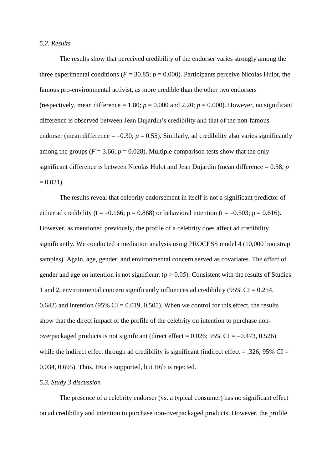## *5.2. Results*

The results show that perceived credibility of the endorser varies strongly among the three experimental conditions ( $F = 30.85$ ;  $p = 0.000$ ). Participants perceive Nicolas Hulot, the famous pro-environmental activist, as more credible than the other two endorsers (respectively, mean difference = 1.80;  $p = 0.000$  and 2.20;  $p = 0.000$ ). However, no significant difference is observed between Jean Dujardin's credibility and that of the non-famous endorser (mean difference  $= -0.30$ ;  $p = 0.55$ ). Similarly, ad credibility also varies significantly among the groups ( $F = 3.66$ ;  $p = 0.028$ ). Multiple comparison tests show that the only significant difference is between Nicolas Hulot and Jean Dujardin (mean difference = 0.58; *p*  $= 0.021$ .

The results reveal that celebrity endorsement in itself is not a significant predictor of either ad credibility (t = -0.166; p = 0.868) or behavioral intention (t = -0.503; p = 0.616). However, as mentioned previously, the profile of a celebrity does affect ad credibility significantly. We conducted a mediation analysis using PROCESS model 4 (10,000 bootstrap samples). Again, age, gender, and environmental concern served as covariates. The effect of gender and age on intention is not significant ( $p > 0.05$ ). Consistent with the results of Studies 1 and 2, environmental concern significantly influences ad credibility (95%  $CI = 0.254$ , 0.642) and intention (95% CI = 0.019, 0.505). When we control for this effect, the results show that the direct impact of the profile of the celebrity on intention to purchase nonoverpackaged products is not significant (direct effect =  $0.026$ ; 95% CI =  $-0.473$ , 0.526) while the indirect effect through ad credibility is significant (indirect effect = .326; 95%  $CI =$ 0.034, 0.695). Thus, H6a is supported, but H6b is rejected.

## *5.3. Study 3 discussion*

The presence of a celebrity endorser (vs. a typical consumer) has no significant effect on ad credibility and intention to purchase non-overpackaged products. However, the profile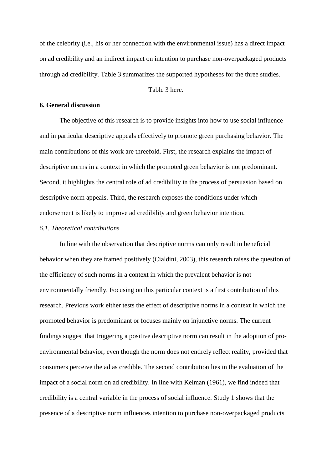of the celebrity (i.e., his or her connection with the environmental issue) has a direct impact on ad credibility and an indirect impact on intention to purchase non-overpackaged products through ad credibility. Table 3 summarizes the supported hypotheses for the three studies.

Table 3 here.

## **6. General discussion**

The objective of this research is to provide insights into how to use social influence and in particular descriptive appeals effectively to promote green purchasing behavior. The main contributions of this work are threefold. First, the research explains the impact of descriptive norms in a context in which the promoted green behavior is not predominant. Second, it highlights the central role of ad credibility in the process of persuasion based on descriptive norm appeals. Third, the research exposes the conditions under which endorsement is likely to improve ad credibility and green behavior intention.

## *6.1. Theoretical contributions*

In line with the observation that descriptive norms can only result in beneficial behavior when they are framed positively (Cialdini, 2003), this research raises the question of the efficiency of such norms in a context in which the prevalent behavior is not environmentally friendly. Focusing on this particular context is a first contribution of this research. Previous work either tests the effect of descriptive norms in a context in which the promoted behavior is predominant or focuses mainly on injunctive norms. The current findings suggest that triggering a positive descriptive norm can result in the adoption of proenvironmental behavior, even though the norm does not entirely reflect reality, provided that consumers perceive the ad as credible. The second contribution lies in the evaluation of the impact of a social norm on ad credibility. In line with Kelman (1961), we find indeed that credibility is a central variable in the process of social influence. Study 1 shows that the presence of a descriptive norm influences intention to purchase non-overpackaged products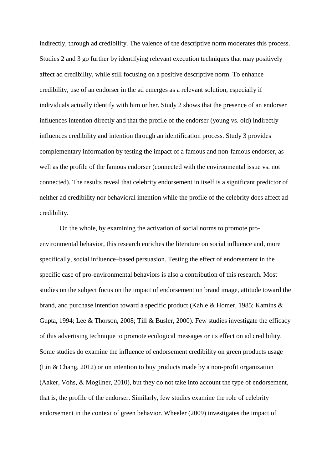indirectly, through ad credibility. The valence of the descriptive norm moderates this process. Studies 2 and 3 go further by identifying relevant execution techniques that may positively affect ad credibility, while still focusing on a positive descriptive norm. To enhance credibility, use of an endorser in the ad emerges as a relevant solution, especially if individuals actually identify with him or her. Study 2 shows that the presence of an endorser influences intention directly and that the profile of the endorser (young vs. old) indirectly influences credibility and intention through an identification process. Study 3 provides complementary information by testing the impact of a famous and non-famous endorser, as well as the profile of the famous endorser (connected with the environmental issue vs. not connected). The results reveal that celebrity endorsement in itself is a significant predictor of neither ad credibility nor behavioral intention while the profile of the celebrity does affect ad credibility.

On the whole, by examining the activation of social norms to promote proenvironmental behavior, this research enriches the literature on social influence and, more specifically, social influence–based persuasion. Testing the effect of endorsement in the specific case of pro-environmental behaviors is also a contribution of this research. Most studies on the subject focus on the impact of endorsement on brand image, attitude toward the brand, and purchase intention toward a specific product (Kahle & Homer, 1985; Kamins & Gupta, 1994; Lee & Thorson, 2008; Till & Busler, 2000). Few studies investigate the efficacy of this advertising technique to promote ecological messages or its effect on ad credibility. Some studies do examine the influence of endorsement credibility on green products usage (Lin & Chang, 2012) or on intention to buy products made by a non-profit organization (Aaker, Vohs, & Mogilner, 2010), but they do not take into account the type of endorsement, that is, the profile of the endorser. Similarly, few studies examine the role of celebrity endorsement in the context of green behavior. Wheeler (2009) investigates the impact of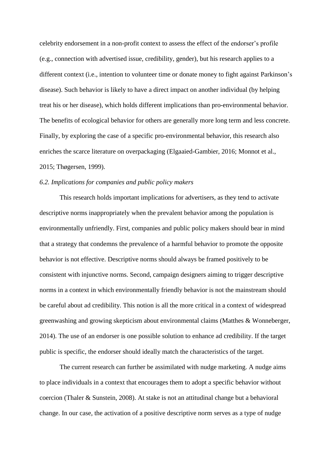celebrity endorsement in a non-profit context to assess the effect of the endorser's profile (e.g., connection with advertised issue, credibility, gender), but his research applies to a different context (i.e., intention to volunteer time or donate money to fight against Parkinson's disease). Such behavior is likely to have a direct impact on another individual (by helping treat his or her disease), which holds different implications than pro-environmental behavior. The benefits of ecological behavior for others are generally more long term and less concrete. Finally, by exploring the case of a specific pro-environmental behavior, this research also enriches the scarce literature on overpackaging (Elgaaied-Gambier, 2016; Monnot et al., 2015; Thøgersen, 1999).

## *6.2. Implications for companies and public policy makers*

This research holds important implications for advertisers, as they tend to activate descriptive norms inappropriately when the prevalent behavior among the population is environmentally unfriendly. First, companies and public policy makers should bear in mind that a strategy that condemns the prevalence of a harmful behavior to promote the opposite behavior is not effective. Descriptive norms should always be framed positively to be consistent with injunctive norms. Second, campaign designers aiming to trigger descriptive norms in a context in which environmentally friendly behavior is not the mainstream should be careful about ad credibility. This notion is all the more critical in a context of widespread greenwashing and growing skepticism about environmental claims (Matthes & Wonneberger, 2014). The use of an endorser is one possible solution to enhance ad credibility. If the target public is specific, the endorser should ideally match the characteristics of the target.

The current research can further be assimilated with nudge marketing. A nudge aims to place individuals in a context that encourages them to adopt a specific behavior without coercion (Thaler & Sunstein, 2008). At stake is not an attitudinal change but a behavioral change. In our case, the activation of a positive descriptive norm serves as a type of nudge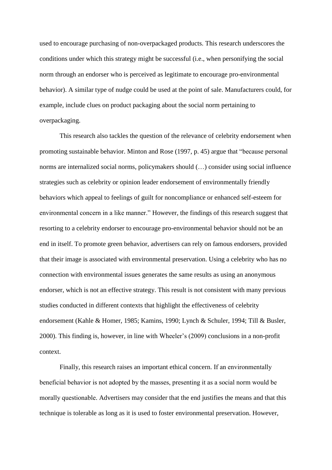used to encourage purchasing of non-overpackaged products. This research underscores the conditions under which this strategy might be successful (i.e., when personifying the social norm through an endorser who is perceived as legitimate to encourage pro-environmental behavior). A similar type of nudge could be used at the point of sale. Manufacturers could, for example, include clues on product packaging about the social norm pertaining to overpackaging.

This research also tackles the question of the relevance of celebrity endorsement when promoting sustainable behavior. Minton and Rose (1997, p. 45) argue that "because personal norms are internalized social norms, policymakers should (…) consider using social influence strategies such as celebrity or opinion leader endorsement of environmentally friendly behaviors which appeal to feelings of guilt for noncompliance or enhanced self-esteem for environmental concern in a like manner." However, the findings of this research suggest that resorting to a celebrity endorser to encourage pro-environmental behavior should not be an end in itself. To promote green behavior, advertisers can rely on famous endorsers, provided that their image is associated with environmental preservation. Using a celebrity who has no connection with environmental issues generates the same results as using an anonymous endorser, which is not an effective strategy. This result is not consistent with many previous studies conducted in different contexts that highlight the effectiveness of celebrity endorsement (Kahle & Homer, 1985; Kamins, 1990; Lynch & Schuler, 1994; Till & Busler, 2000). This finding is, however, in line with Wheeler's (2009) conclusions in a non-profit context.

Finally, this research raises an important ethical concern. If an environmentally beneficial behavior is not adopted by the masses, presenting it as a social norm would be morally questionable. Advertisers may consider that the end justifies the means and that this technique is tolerable as long as it is used to foster environmental preservation. However,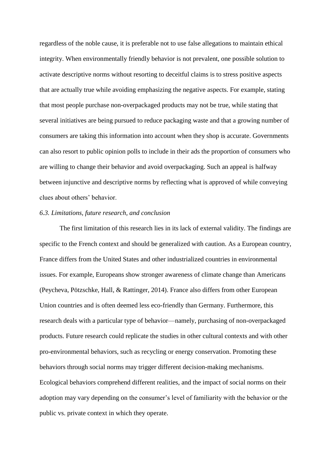regardless of the noble cause, it is preferable not to use false allegations to maintain ethical integrity. When environmentally friendly behavior is not prevalent, one possible solution to activate descriptive norms without resorting to deceitful claims is to stress positive aspects that are actually true while avoiding emphasizing the negative aspects. For example, stating that most people purchase non-overpackaged products may not be true, while stating that several initiatives are being pursued to reduce packaging waste and that a growing number of consumers are taking this information into account when they shop is accurate. Governments can also resort to public opinion polls to include in their ads the proportion of consumers who are willing to change their behavior and avoid overpackaging. Such an appeal is halfway between injunctive and descriptive norms by reflecting what is approved of while conveying clues about others' behavior.

## *6.3. Limitations, future research, and conclusion*

The first limitation of this research lies in its lack of external validity. The findings are specific to the French context and should be generalized with caution. As a European country, France differs from the United States and other industrialized countries in environmental issues. For example, Europeans show stronger awareness of climate change than Americans (Peycheva, Pötzschke, Hall, & Rattinger, 2014). France also differs from other European Union countries and is often deemed less eco-friendly than Germany. Furthermore, this research deals with a particular type of behavior—namely, purchasing of non-overpackaged products. Future research could replicate the studies in other cultural contexts and with other pro-environmental behaviors, such as recycling or energy conservation. Promoting these behaviors through social norms may trigger different decision-making mechanisms. Ecological behaviors comprehend different realities, and the impact of social norms on their adoption may vary depending on the consumer's level of familiarity with the behavior or the public vs. private context in which they operate.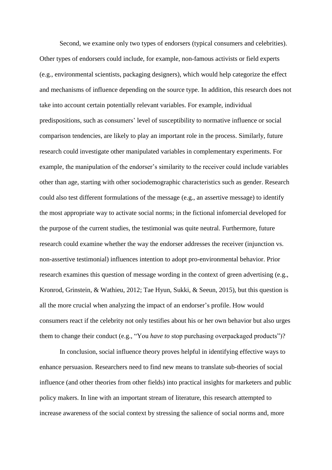Second, we examine only two types of endorsers (typical consumers and celebrities). Other types of endorsers could include, for example, non-famous activists or field experts (e.g., environmental scientists, packaging designers), which would help categorize the effect and mechanisms of influence depending on the source type. In addition, this research does not take into account certain potentially relevant variables. For example, individual predispositions, such as consumers' level of susceptibility to normative influence or social comparison tendencies, are likely to play an important role in the process. Similarly, future research could investigate other manipulated variables in complementary experiments. For example, the manipulation of the endorser's similarity to the receiver could include variables other than age, starting with other sociodemographic characteristics such as gender. Research could also test different formulations of the message (e.g., an assertive message) to identify the most appropriate way to activate social norms; in the fictional infomercial developed for the purpose of the current studies, the testimonial was quite neutral. Furthermore, future research could examine whether the way the endorser addresses the receiver (injunction vs. non-assertive testimonial) influences intention to adopt pro-environmental behavior. Prior research examines this question of message wording in the context of green advertising (e.g., Kronrod, Grinstein, & Wathieu, 2012; Tae Hyun, Sukki, & Seeun, 2015), but this question is all the more crucial when analyzing the impact of an endorser's profile. How would consumers react if the celebrity not only testifies about his or her own behavior but also urges them to change their conduct (e.g., "You *have to* stop purchasing overpackaged products")?

In conclusion, social influence theory proves helpful in identifying effective ways to enhance persuasion. Researchers need to find new means to translate sub-theories of social influence (and other theories from other fields) into practical insights for marketers and public policy makers. In line with an important stream of literature, this research attempted to increase awareness of the social context by stressing the salience of social norms and, more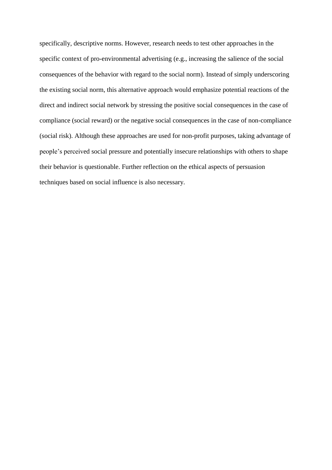specifically, descriptive norms. However, research needs to test other approaches in the specific context of pro-environmental advertising (e.g., increasing the salience of the social consequences of the behavior with regard to the social norm). Instead of simply underscoring the existing social norm, this alternative approach would emphasize potential reactions of the direct and indirect social network by stressing the positive social consequences in the case of compliance (social reward) or the negative social consequences in the case of non-compliance (social risk). Although these approaches are used for non-profit purposes, taking advantage of people's perceived social pressure and potentially insecure relationships with others to shape their behavior is questionable. Further reflection on the ethical aspects of persuasion techniques based on social influence is also necessary.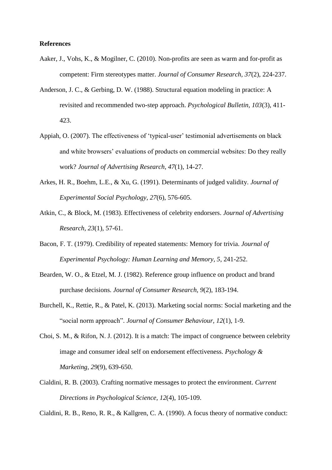## **References**

- Aaker, J., Vohs, K., & Mogilner, C. (2010). Non-profits are seen as warm and for-profit as competent: Firm stereotypes matter. *Journal of Consumer Research, 37*(2), 224-237.
- Anderson, J. C., & Gerbing, D. W. (1988). Structural equation modeling in practice: A revisited and recommended two-step approach. *Psychological Bulletin, 103*(3), 411- 423.
- Appiah, O. (2007). The effectiveness of 'typical-user' testimonial advertisements on black and white browsers' evaluations of products on commercial websites: Do they really work? *Journal of Advertising Research, 47*(1), 14-27.
- Arkes, H. R., Boehm, L.E., & Xu, G. (1991). Determinants of judged validity. *Journal of Experimental Social Psychology, 27*(6), 576-605.
- Atkin, C., & Block, M. (1983). Effectiveness of celebrity endorsers. *Journal of Advertising Research, 23*(1), 57-61.
- Bacon, F. T. (1979). Credibility of repeated statements: Memory for trivia. *Journal of Experimental Psychology: Human Learning and Memory, 5*, 241-252.
- Bearden, W. O., & Etzel, M. J. (1982). Reference group influence on product and brand purchase decisions*. Journal of Consumer Research, 9*(2), 183-194.
- Burchell, K., Rettie, R., & Patel, K. (2013). Marketing social norms: Social marketing and the "social norm approach". *Journal of Consumer Behaviour, 12*(1), 1-9.
- Choi, S. M., & Rifon, N. J. (2012). It is a match: The impact of congruence between celebrity image and consumer ideal self on endorsement effectiveness. *Psychology & Marketing, 29*(9), 639-650.
- Cialdini, R. B. (2003). Crafting normative messages to protect the environment. *Current Directions in Psychological Science, 12*(4), 105-109.

Cialdini, R. B., Reno, R. R., & Kallgren, C. A. (1990). A focus theory of normative conduct: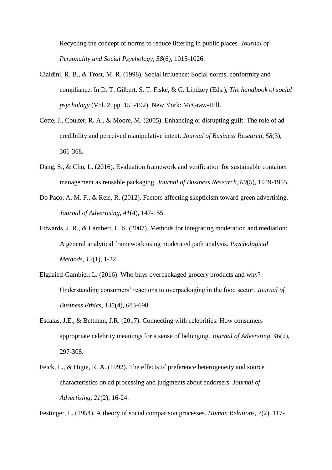Recycling the concept of norms to reduce littering in public places. *Journal of Personality and Social Psychology, 58*(6), 1015-1026.

- Cialdini, R. B., & Trost, M. R. (1998). Social influence: Social norms, conformity and compliance. In D. T. Gilbert, S. T. Fiske, & G. Lindzey (Eds.), *The handbook of social psychology* (Vol. 2, pp. 151-192). New York: McGraw-Hill.
- Cotte, J., Coulter, R. A., & Moore, M. (2005). Enhancing or disrupting guilt: The role of ad credibility and perceived manipulative intent. *Journal of Business Research, 58*(3), 361-368.
- Dang, S., & Chu, L. (2016). Evaluation framework and verification for sustainable container management as reusable packaging. *Journal of Business Research, 69*(5), 1949-1955.
- Do Paço, A. M. F., & Reis, R. (2012). Factors affecting skepticism toward green advertising. *Journal of Advertising, 41*(4), 147-155.
- Edwards, J. R., & Lambert, L. S. (2007). Methods for integrating moderation and mediation: A general analytical framework using moderated path analysis. *Psychological Methods, 12*(1), 1-22.
- Elgaaied-Gambier, L. (2016). Who buys overpackaged grocery products and why? Understanding consumers' reactions to overpackaging in the food sector. *Journal of Business Ethics, 135*(4), 683-698.
- Escalas, J.E., & Bettman, J.R. (2017). Connecting with celebrities: How consumers appropriate celebrity meanings for a sense of belonging. *Journal of Adversting*, *46*(2), 297-308.
- Feick, L., & Higie, R. A. (1992). The effects of preference heterogeneity and source characteristics on ad processing and judgments about endorsers. *Journal of Advertising, 21*(2), 16-24.

Festinger, L. (1954). A theory of social comparison processes. *Human Relations, 7*(2), 117-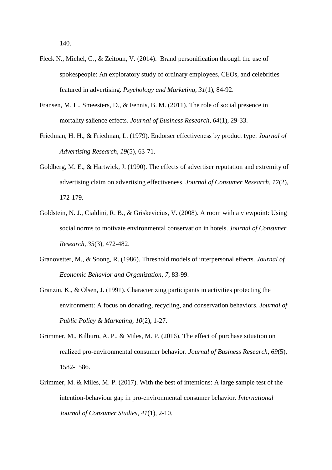140.

- Fleck N., Michel, G., & Zeitoun, V. (2014). Brand personification through the use of spokespeople: An exploratory study of ordinary employees, CEOs, and celebrities featured in advertising. *Psychology and Marketing*, *31*(1), 84-92.
- Fransen, M. L., Smeesters, D., & Fennis, B. M. (2011). The role of social presence in mortality salience effects. *Journal of Business Research, 64*(1), 29-33.
- Friedman, H. H., & Friedman, L. (1979). Endorser effectiveness by product type. *Journal of Advertising Research, 19*(5), 63-71.
- Goldberg, M. E., & Hartwick, J. (1990). The effects of advertiser reputation and extremity of advertising claim on advertising effectiveness. *Journal of Consumer Research, 17*(2), 172-179.
- Goldstein, N. J., Cialdini, R. B., & Griskevicius, V. (2008). A room with a viewpoint: Using social norms to motivate environmental conservation in hotels. *Journal of Consumer Research, 35*(3), 472-482.
- Granovetter, M., & Soong, R. (1986). Threshold models of interpersonal effects. *Journal of Economic Behavior and Organization, 7*, 83-99.
- Granzin, K., & Olsen, J. (1991). Characterizing participants in activities protecting the environment: A focus on donating, recycling, and conservation behaviors. *Journal of Public Policy & Marketing, 10*(2), 1-27.
- Grimmer, M., Kilburn, A. P., & Miles, M. P. (2016). The effect of purchase situation on realized pro-environmental consumer behavior. *Journal of Business Research*, *69*(5), 1582-1586.
- Grimmer, M. & Miles, M. P. (2017). With the best of intentions: A large sample test of the intention-behaviour gap in pro-environmental consumer behavior. *International Journal of Consumer Studies*, *41*(1), 2-10.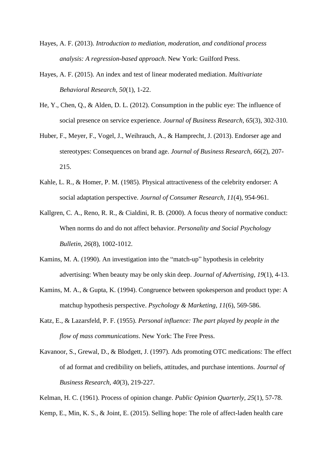- Hayes, A. F. (2013). *Introduction to mediation, moderation, and conditional process analysis: A regression-based approach*. New York: Guilford Press.
- Hayes, A. F. (2015). An index and test of linear moderated mediation. *Multivariate Behavioral Research, 50*(1), 1-22.
- He, Y., Chen, Q., & Alden, D. L. (2012). Consumption in the public eye: The influence of social presence on service experience. *Journal of Business Research, 65*(3), 302-310.
- Huber, F., Meyer, F., Vogel, J., Weihrauch, A., & Hamprecht, J. (2013). Endorser age and stereotypes: Consequences on brand age. *Journal of Business Research, 66*(2), 207- 215.
- Kahle, L. R., & Homer, P. M. (1985). Physical attractiveness of the celebrity endorser: A social adaptation perspective. *Journal of Consumer Research, 11*(4), 954-961.
- Kallgren, C. A., Reno, R. R., & Cialdini, R. B. (2000). A focus theory of normative conduct: When norms do and do not affect behavior. *Personality and Social Psychology Bulletin, 26*(8), 1002-1012.
- Kamins, M. A. (1990). An investigation into the "match-up" hypothesis in celebrity advertising: When beauty may be only skin deep. *Journal of Advertising, 19*(1), 4-13.
- Kamins, M. A., & Gupta, K. (1994). Congruence between spokesperson and product type: A matchup hypothesis perspective. *Psychology & Marketing, 11*(6), 569-586.
- Katz, E., & Lazarsfeld, P. F. (1955). *Personal influence: The part played by people in the flow of mass communications*. New York: The Free Press.
- Kavanoor, S., Grewal, D., & Blodgett, J. (1997). Ads promoting OTC medications: The effect of ad format and credibility on beliefs, attitudes, and purchase intentions. *Journal of Business Research, 40*(3), 219-227.
- Kelman, H. C. (1961). Process of opinion change. *Public Opinion Quarterly, 25*(1), 57-78.
- Kemp, E., Min, K. S., & Joint, E. (2015). Selling hope: The role of affect-laden health care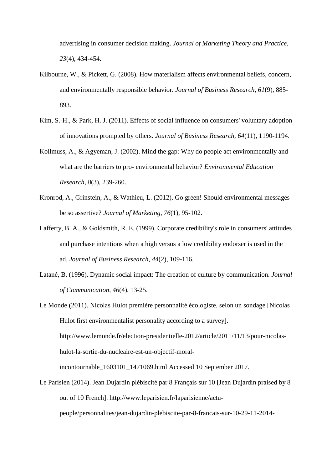advertising in consumer decision making. *Journal of Marketing Theory and Practice, 23*(4), 434-454.

- Kilbourne, W., & Pickett, G. (2008). How materialism affects environmental beliefs, concern, and environmentally responsible behavior. *Journal of Business Research, 61*(9), 885- 893.
- Kim, S.-H., & Park, H. J. (2011). Effects of social influence on consumers' voluntary adoption of innovations prompted by others. *Journal of Business Research, 64*(11), 1190-1194.
- Kollmuss, A., & Agyeman, J. (2002). Mind the gap: Why do people act environmentally and what are the barriers to pro- environmental behavior? *Environmental Education Research, 8*(3), 239-260.
- Kronrod, A., Grinstein, A., & Wathieu, L. (2012). Go green! Should environmental messages be so assertive? *Journal of Marketing, 76*(1), 95-102.
- Lafferty, B. A., & Goldsmith, R. E. (1999). Corporate credibility's role in consumers' attitudes and purchase intentions when a high versus a low credibility endorser is used in the ad. *Journal of Business Research, 44*(2), 109-116.
- Latané, B. (1996). Dynamic social impact: The creation of culture by communication. *Journal of Communication, 46*(4), 13-25.

Le Monde (2011). Nicolas Hulot première personnalité écologiste, selon un sondage [Nicolas Hulot first environmentalist personality according to a survey]. http://www.lemonde.fr/election-presidentielle-2012/article/2011/11/13/pour-nicolashulot-la-sortie-du-nucleaire-est-un-objectif-moralincontournable\_1603101\_1471069.html Accessed 10 September 2017.

Le Parisien (2014). Jean Dujardin plébiscité par 8 Français sur 10 [Jean Dujardin praised by 8 out of 10 French]. http://www.leparisien.fr/laparisienne/actupeople/personnalites/jean-dujardin-plebiscite-par-8-francais-sur-10-29-11-2014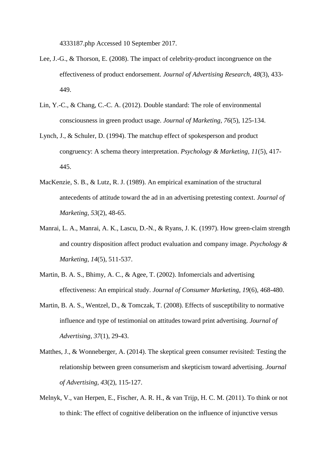4333187.php Accessed 10 September 2017.

- Lee, J.-G., & Thorson, E. (2008). The impact of celebrity-product incongruence on the effectiveness of product endorsement. *Journal of Advertising Research, 48*(3), 433- 449.
- Lin, Y.-C., & Chang, C.-C. A. (2012). Double standard: The role of environmental consciousness in green product usage. *Journal of Marketing, 76*(5), 125-134.
- Lynch, J., & Schuler, D. (1994). The matchup effect of spokesperson and product congruency: A schema theory interpretation. *Psychology & Marketing, 11*(5), 417- 445.
- MacKenzie, S. B., & Lutz, R. J. (1989). An empirical examination of the structural antecedents of attitude toward the ad in an advertising pretesting context. *Journal of Marketing, 53*(2), 48-65.
- Manrai, L. A., Manrai, A. K., Lascu, D.-N., & Ryans, J. K. (1997). How green-claim strength and country disposition affect product evaluation and company image. *Psychology & Marketing, 14*(5), 511-537.
- Martin, B. A. S., Bhimy, A. C., & Agee, T. (2002). Infomercials and advertising effectiveness: An empirical study. *Journal of Consumer Marketing, 19*(6), 468-480.
- Martin, B. A. S., Wentzel, D., & Tomczak, T. (2008). Effects of susceptibility to normative influence and type of testimonial on attitudes toward print advertising. *Journal of Advertising, 37*(1), 29-43.
- Matthes, J., & Wonneberger, A. (2014). The skeptical green consumer revisited: Testing the relationship between green consumerism and skepticism toward advertising. *Journal of Advertising, 43*(2), 115-127.
- Melnyk, V., van Herpen, E., Fischer, A. R. H., & van Trijp, H. C. M. (2011). To think or not to think: The effect of cognitive deliberation on the influence of injunctive versus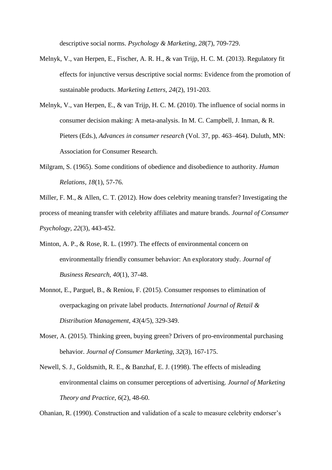descriptive social norms. *Psychology & Marketing, 28*(7), 709-729.

- Melnyk, V., van Herpen, E., Fischer, A. R. H., & van Trijp, H. C. M. (2013). Regulatory fit effects for injunctive versus descriptive social norms: Evidence from the promotion of sustainable products. *Marketing Letters, 24*(2), 191-203.
- Melnyk, V., van Herpen, E., & van Trijp, H. C. M. (2010). The influence of social norms in consumer decision making: A meta-analysis. In M. C. Campbell, J. Inman, & R. Pieters (Eds.), *Advances in consumer research* (Vol. 37, pp. 463–464). Duluth, MN: Association for Consumer Research.
- Milgram, S. (1965). Some conditions of obedience and disobedience to authority. *Human Relations, 18*(1), 57-76.
- Miller, F. M., & Allen, C. T. (2012). How does celebrity meaning transfer? Investigating the process of meaning transfer with celebrity affiliates and mature brands*. Journal of Consumer Psychology*, *22*(3), 443-452.
- Minton, A. P., & Rose, R. L. (1997). The effects of environmental concern on environmentally friendly consumer behavior: An exploratory study. *Journal of Business Research, 40*(1), 37-48.
- Monnot, E., Parguel, B., & Reniou, F. (2015). Consumer responses to elimination of overpackaging on private label products. *International Journal of Retail & Distribution Management, 43*(4/5), 329-349.
- Moser, A. (2015). Thinking green, buying green? Drivers of pro-environmental purchasing behavior. *Journal of Consumer Marketing, 32*(3), 167-175.
- Newell, S. J., Goldsmith, R. E., & Banzhaf, E. J. (1998). The effects of misleading environmental claims on consumer perceptions of advertising. *Journal of Marketing Theory and Practice, 6*(2), 48-60.

Ohanian, R. (1990). Construction and validation of a scale to measure celebrity endorser's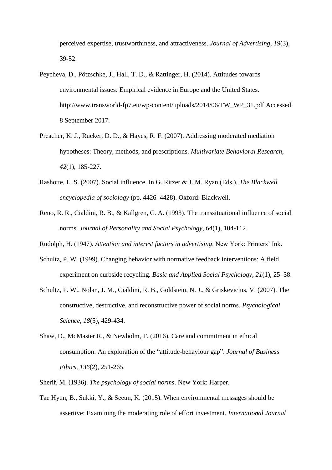perceived expertise, trustworthiness, and attractiveness. *Journal of Advertising, 19*(3), 39-52.

- Peycheva, D., Pötzschke, J., Hall, T. D., & Rattinger, H. (2014). Attitudes towards environmental issues: Empirical evidence in Europe and the United States. http://www.transworld-fp7.eu/wp-content/uploads/2014/06/TW\_WP\_31.pdf Accessed 8 September 2017.
- Preacher, K. J., Rucker, D. D., & Hayes, R. F. (2007). Addressing moderated mediation hypotheses: Theory, methods, and prescriptions. *Multivariate Behavioral Research*, *42*(1), 185-227.
- Rashotte, L. S. (2007). Social influence. In G. Ritzer & J. M. Ryan (Eds.), *The Blackwell encyclopedia of sociology* (pp. 4426–4428). Oxford: Blackwell.
- Reno, R. R., Cialdini, R. B., & Kallgren, C. A. (1993). The transsituational influence of social norms. *Journal of Personality and Social Psychology, 64*(1), 104-112.
- Rudolph, H. (1947). *Attention and interest factors in advertising*. New York: Printers' Ink.
- Schultz, P. W. (1999). Changing behavior with normative feedback interventions: A field experiment on curbside recycling. *Basic and Applied Social Psychology, 21*(1), 25–38.
- Schultz, P. W., Nolan, J. M., Cialdini, R. B., Goldstein, N. J., & Griskevicius, V. (2007). The constructive, destructive, and reconstructive power of social norms. *Psychological Science, 18*(5), 429-434.
- Shaw, D., McMaster R., & Newholm, T. (2016). Care and commitment in ethical consumption: An exploration of the "attitude-behaviour gap". *Journal of Business Ethics*, *136*(2), 251-265.
- Sherif, M. (1936). *The psychology of social norms*. New York: Harper.
- Tae Hyun, B., Sukki, Y., & Seeun, K. (2015). When environmental messages should be assertive: Examining the moderating role of effort investment. *International Journal*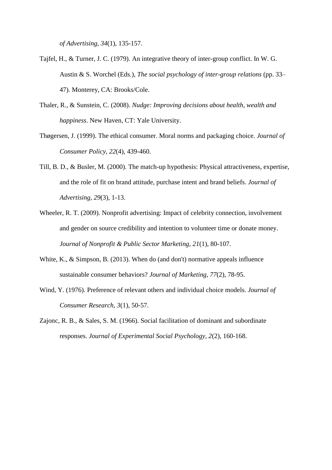*of Advertising, 34*(1), 135-157.

- Tajfel, H., & Turner, J. C. (1979). An integrative theory of inter-group conflict. In W. G. Austin & S. Worchel (Eds.), *The social psychology of inter-group relations* (pp. 33– 47). Monterey, CA: Brooks/Cole.
- Thaler, R., & Sunstein, C. (2008). *Nudge: Improving decisions about health, wealth and happiness*. New Haven, CT: Yale University.
- Thøgersen, J. (1999). The ethical consumer. Moral norms and packaging choice. *Journal of Consumer Policy, 22*(4), 439-460.
- Till, B. D., & Busler, M. (2000). The match-up hypothesis: Physical attractiveness, expertise, and the role of fit on brand attitude, purchase intent and brand beliefs. *Journal of Advertising, 29*(3), 1-13.
- Wheeler, R. T. (2009). Nonprofit advertising: Impact of celebrity connection, involvement and gender on source credibility and intention to volunteer time or donate money. *Journal of Nonprofit & Public Sector Marketing, 21*(1), 80-107.
- White, K., & Simpson, B. (2013). When do (and don't) normative appeals influence sustainable consumer behaviors? *Journal of Marketing, 77*(2), 78-95.
- Wind, Y. (1976). Preference of relevant others and individual choice models. *Journal of Consumer Research, 3*(1), 50-57.
- Zajonc, R. B., & Sales, S. M. (1966). Social facilitation of dominant and subordinate responses. *Journal of Experimental Social Psychology, 2*(2), 160-168.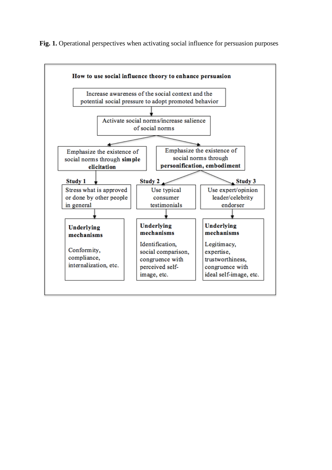Fig. 1. Operational perspectives when activating social influence for persuasion purposes

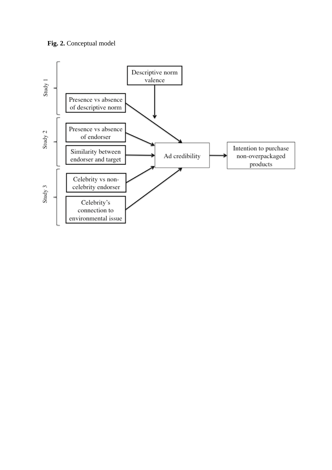

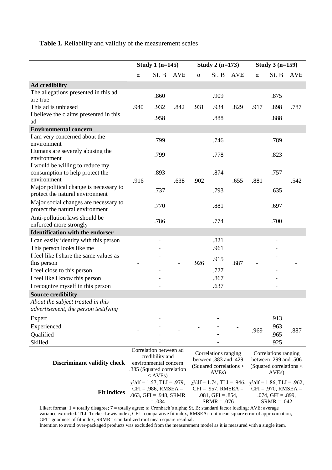## **Table 1.** Reliability and validity of the measurement scales

|                                                                                          | Study 1 $(n=145)$                                                                                            |                                                                                                    | Study 2 $(n=173)$                                                                              |          |                                                                                                      | Study $3(n=159)$ |          |                                                                                                      |            |
|------------------------------------------------------------------------------------------|--------------------------------------------------------------------------------------------------------------|----------------------------------------------------------------------------------------------------|------------------------------------------------------------------------------------------------|----------|------------------------------------------------------------------------------------------------------|------------------|----------|------------------------------------------------------------------------------------------------------|------------|
|                                                                                          | $\alpha$                                                                                                     | St. B                                                                                              | <b>AVE</b>                                                                                     | $\alpha$ | St. B                                                                                                | <b>AVE</b>       | $\alpha$ | St. B                                                                                                | <b>AVE</b> |
| <b>Ad credibility</b>                                                                    |                                                                                                              |                                                                                                    |                                                                                                |          |                                                                                                      |                  |          |                                                                                                      |            |
| The allegations presented in this ad                                                     |                                                                                                              | .860                                                                                               |                                                                                                |          | .909                                                                                                 |                  |          | .875                                                                                                 |            |
| are true                                                                                 |                                                                                                              |                                                                                                    |                                                                                                |          |                                                                                                      |                  |          |                                                                                                      |            |
| This ad is unbiased                                                                      | .940                                                                                                         | .932                                                                                               | .842                                                                                           | .931     | .934                                                                                                 | .829             | .917     | .898                                                                                                 | .787       |
| I believe the claims presented in this<br>ad                                             |                                                                                                              | .958                                                                                               |                                                                                                |          | .888                                                                                                 |                  |          | .888                                                                                                 |            |
| <b>Environmental concern</b>                                                             |                                                                                                              |                                                                                                    |                                                                                                |          |                                                                                                      |                  |          |                                                                                                      |            |
| I am very concerned about the                                                            |                                                                                                              |                                                                                                    |                                                                                                |          |                                                                                                      |                  |          |                                                                                                      |            |
| environment                                                                              |                                                                                                              | .799                                                                                               |                                                                                                |          | .746                                                                                                 |                  |          | .789                                                                                                 |            |
| Humans are severely abusing the<br>environment                                           |                                                                                                              | .799                                                                                               |                                                                                                |          | .778                                                                                                 |                  |          | .823                                                                                                 |            |
| I would be willing to reduce my<br>consumption to help protect the                       |                                                                                                              | .893                                                                                               |                                                                                                |          | .874                                                                                                 |                  |          | .757                                                                                                 |            |
| environment<br>Major political change is necessary to<br>protect the natural environment | .916                                                                                                         | .737                                                                                               | .638                                                                                           | .902     | .793                                                                                                 | .655             | .881     | .635                                                                                                 | .542       |
| Major social changes are necessary to<br>protect the natural environment                 |                                                                                                              | .770                                                                                               |                                                                                                |          | .881                                                                                                 |                  |          | .697                                                                                                 |            |
| Anti-pollution laws should be<br>enforced more strongly                                  |                                                                                                              | .786                                                                                               |                                                                                                |          | .774                                                                                                 |                  |          | .700                                                                                                 |            |
| <b>Identification with the endorser</b>                                                  |                                                                                                              |                                                                                                    |                                                                                                |          |                                                                                                      |                  |          |                                                                                                      |            |
| I can easily identify with this person                                                   |                                                                                                              | $\overline{\phantom{0}}$                                                                           |                                                                                                |          | .821                                                                                                 |                  |          |                                                                                                      |            |
| This person looks like me                                                                |                                                                                                              |                                                                                                    |                                                                                                |          | .961                                                                                                 |                  |          |                                                                                                      |            |
| I feel like I share the same values as                                                   |                                                                                                              |                                                                                                    |                                                                                                |          | .915                                                                                                 |                  |          |                                                                                                      |            |
| this person                                                                              |                                                                                                              |                                                                                                    |                                                                                                | .926     |                                                                                                      | .687             |          |                                                                                                      |            |
| I feel close to this person                                                              |                                                                                                              |                                                                                                    |                                                                                                |          | .727                                                                                                 |                  |          |                                                                                                      |            |
| I feel like I know this person                                                           |                                                                                                              |                                                                                                    |                                                                                                |          | .867                                                                                                 |                  |          |                                                                                                      |            |
| I recognize myself in this person                                                        |                                                                                                              |                                                                                                    |                                                                                                |          | .637                                                                                                 |                  |          |                                                                                                      |            |
| <b>Source credibility</b>                                                                |                                                                                                              |                                                                                                    |                                                                                                |          |                                                                                                      |                  |          |                                                                                                      |            |
| About the subject treated in this<br>advertisement, the person testifying                |                                                                                                              |                                                                                                    |                                                                                                |          |                                                                                                      |                  |          |                                                                                                      |            |
| Expert                                                                                   |                                                                                                              |                                                                                                    |                                                                                                |          |                                                                                                      |                  |          | .913                                                                                                 |            |
| Experienced                                                                              |                                                                                                              |                                                                                                    |                                                                                                |          |                                                                                                      |                  | .969     | .963                                                                                                 | .887       |
| Qualified                                                                                |                                                                                                              |                                                                                                    |                                                                                                |          |                                                                                                      |                  |          | .965                                                                                                 |            |
| Skilled                                                                                  |                                                                                                              |                                                                                                    |                                                                                                |          |                                                                                                      |                  |          | .925                                                                                                 |            |
| <b>Discriminant validity check</b>                                                       | Correlation between ad<br>credibility and<br>environmental concern<br>.385 (Squared correlation<br>$<$ AVEs) |                                                                                                    | Correlations ranging<br>between .383 and .429<br>(Squared correlations <<br>AVE <sub>s</sub> ) |          | Correlations ranging<br>between .299 and .506<br>(Squared correlations <<br>AVE <sub>s</sub> )       |                  |          |                                                                                                      |            |
| <b>Fit indices</b>                                                                       |                                                                                                              | $\chi^2$ /df = 1.57, TLI = .979,<br>$CFI = .986$ , RMSEA =<br>$.063$ , GFI = .948, SRMR<br>$=.034$ |                                                                                                |          | $\chi^2$ /df = 1.74, TLI = .946,<br>$CFI = .957$ , RMSEA =<br>$.081,$ GFI = $.854,$<br>$SRMR = .076$ |                  |          | $\chi^2$ /df = 1.86, TLI = .962,<br>$CFI = .970$ , RMSEA =<br>$.074,$ GFI = $.899,$<br>$SRMR = .042$ |            |

Likert format: 1 = totally disagree; 7 = totally agree; α: Cronbach's alpha; St. B: standard factor loading; AVE: average variance extracted. TLI: Tucker-Lewis index, CFI= comparative fit index, RMSEA: root mean square error of approximation, GFI= goodness of fit index, SRMR= standardized root mean square residual.

Intention to avoid over-packaged products was excluded from the measurement model as it is measured with a single item.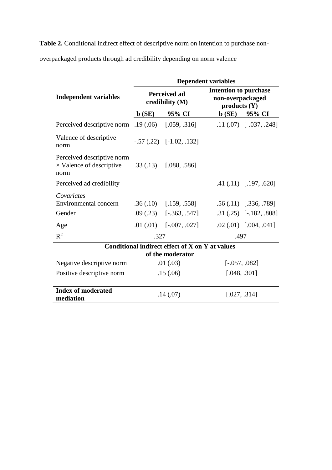**Table 2.** Conditional indirect effect of descriptive norm on intention to purchase non-

overpackaged products through ad credibility depending on norm valence

|                                                                       | <b>Dependent variables</b> |                                        |                                                                 |                              |  |  |  |
|-----------------------------------------------------------------------|----------------------------|----------------------------------------|-----------------------------------------------------------------|------------------------------|--|--|--|
| <b>Independent variables</b>                                          |                            | <b>Perceived ad</b><br>credibility (M) | <b>Intention to purchase</b><br>non-overpackaged<br>products(Y) |                              |  |  |  |
|                                                                       | $\mathbf{b}(\mathbf{SE})$  | 95% CI                                 | $\mathbf{b}$ (SE)                                               | 95% CI                       |  |  |  |
| Perceived descriptive norm $.19 \,(.06)$ [.059, .316]                 |                            |                                        |                                                                 | $.11(.07)$ $[-.037, .248]$   |  |  |  |
| Valence of descriptive<br>norm                                        |                            | $-.57(.22)$ $[-1.02, .132]$            |                                                                 |                              |  |  |  |
| Perceived descriptive norm<br>$\times$ Valence of descriptive<br>norm |                            | $.33(.13)$ $[.088, .586]$              |                                                                 |                              |  |  |  |
| Perceived ad credibility                                              |                            |                                        |                                                                 | $.41$ $(.11)$ $[.197, .620]$ |  |  |  |
| Covariates                                                            |                            |                                        |                                                                 |                              |  |  |  |
| Environmental concern                                                 |                            | $.36(.10)$ $[.159, .558]$              |                                                                 | $.56(.11)$ $[.336, .789]$    |  |  |  |
| Gender                                                                |                            | $.09(.23)$ $[-.363, .547]$             |                                                                 | $.31(.25)$ [-.182, .808]     |  |  |  |
| Age                                                                   |                            | $.01(0.01)$ [ $-.007, .027$ ]          |                                                                 | $.02$ $(.01)$ $[.004, .041]$ |  |  |  |
| $R^2$                                                                 | .327                       |                                        | .497                                                            |                              |  |  |  |
| Conditional indirect effect of X on Y at values<br>of the moderator   |                            |                                        |                                                                 |                              |  |  |  |
| Negative descriptive norm                                             |                            | .01(.03)                               | $[-.057, .082]$                                                 |                              |  |  |  |
| Positive descriptive norm                                             | .15(.06)                   |                                        |                                                                 | [.048, .301]                 |  |  |  |
| <b>Index of moderated</b><br>mediation                                | .14(.07)                   |                                        | [.027, .314]                                                    |                              |  |  |  |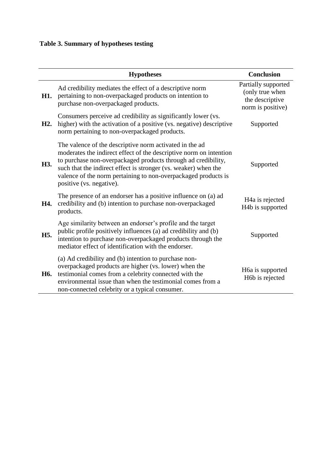# **Table 3. Summary of hypotheses testing**

|                  | <b>Hypotheses</b>                                                                                                                                                                                                                                                                                                                                               | <b>Conclusion</b>                                                              |
|------------------|-----------------------------------------------------------------------------------------------------------------------------------------------------------------------------------------------------------------------------------------------------------------------------------------------------------------------------------------------------------------|--------------------------------------------------------------------------------|
| H1.              | Ad credibility mediates the effect of a descriptive norm<br>pertaining to non-overpackaged products on intention to<br>purchase non-overpackaged products.                                                                                                                                                                                                      | Partially supported<br>(only true when<br>the descriptive<br>norm is positive) |
| H <sub>2</sub> . | Consumers perceive ad credibility as significantly lower (vs.<br>higher) with the activation of a positive (vs. negative) descriptive<br>norm pertaining to non-overpackaged products.                                                                                                                                                                          | Supported                                                                      |
| H3.              | The valence of the descriptive norm activated in the ad<br>moderates the indirect effect of the descriptive norm on intention<br>to purchase non-overpackaged products through ad credibility,<br>such that the indirect effect is stronger (vs. weaker) when the<br>valence of the norm pertaining to non-overpackaged products is<br>positive (vs. negative). | Supported                                                                      |
| H4.              | The presence of an endorser has a positive influence on (a) ad<br>credibility and (b) intention to purchase non-overpackaged<br>products.                                                                                                                                                                                                                       | H <sub>4</sub> a is rejected<br>H4b is supported                               |
| H <sub>5</sub> . | Age similarity between an endorser's profile and the target<br>public profile positively influences (a) ad credibility and (b)<br>intention to purchase non-overpackaged products through the<br>mediator effect of identification with the endorser.                                                                                                           | Supported                                                                      |
| H6.              | (a) Ad credibility and (b) intention to purchase non-<br>overpackaged products are higher (vs. lower) when the<br>testimonial comes from a celebrity connected with the<br>environmental issue than when the testimonial comes from a<br>non-connected celebrity or a typical consumer.                                                                         | H6a is supported<br>H6b is rejected                                            |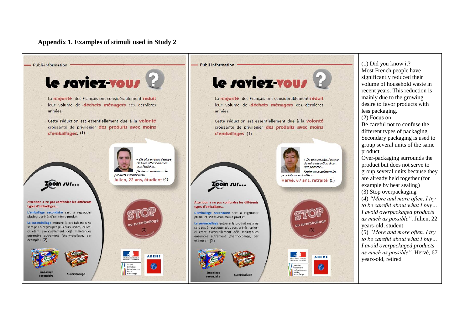**Appendix 1. Examples of stimuli used in Study 2**